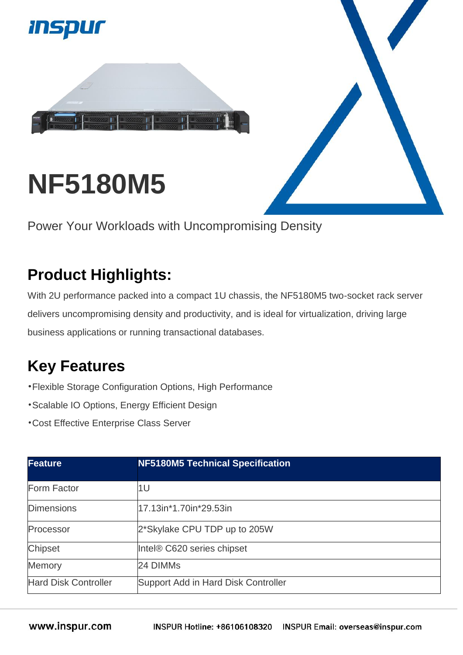

## **NF5180M5**

Power Your Workloads with Uncompromising Density

## **Product Highlights:**

With 2U performance packed into a compact 1U chassis, the NF5180M5 two-socket rack server delivers uncompromising density and productivity, and is ideal for virtualization, driving large business applications or running transactional databases.

## **Key Features**

- •Flexible Storage Configuration Options, High Performance
- •Scalable IO Options, Energy Efficient Design
- •Cost Effective Enterprise Class Server

| <b>Feature</b>              | <b>NF5180M5 Technical Specification</b> |
|-----------------------------|-----------------------------------------|
| Form Factor                 | 1U                                      |
| <b>Dimensions</b>           | 17.13in*1.70in*29.53in                  |
| Processor                   | 2*Skylake CPU TDP up to 205W            |
| <b>Chipset</b>              | Intel® C620 series chipset              |
| Memory                      | 24 DIMMs                                |
| <b>Hard Disk Controller</b> | Support Add in Hard Disk Controller     |